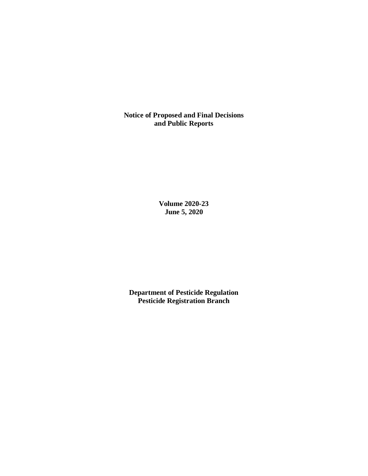**Notice of Proposed and Final Decisions and Public Reports**

> **Volume 2020-23 June 5, 2020**

**Department of Pesticide Regulation Pesticide Registration Branch**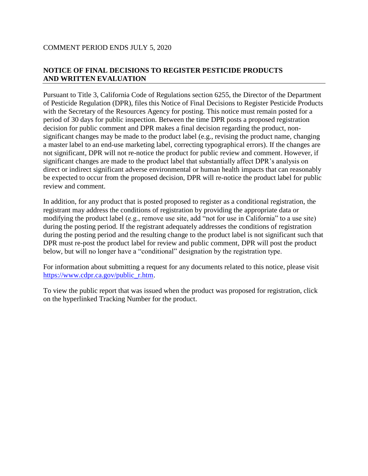# **NOTICE OF FINAL DECISIONS TO REGISTER PESTICIDE PRODUCTS AND WRITTEN EVALUATION**

Pursuant to Title 3, California Code of Regulations section 6255, the Director of the Department of Pesticide Regulation (DPR), files this Notice of Final Decisions to Register Pesticide Products with the Secretary of the Resources Agency for posting. This notice must remain posted for a period of 30 days for public inspection. Between the time DPR posts a proposed registration decision for public comment and DPR makes a final decision regarding the product, nonsignificant changes may be made to the product label (e.g., revising the product name, changing a master label to an end-use marketing label, correcting typographical errors). If the changes are not significant, DPR will not re-notice the product for public review and comment. However, if significant changes are made to the product label that substantially affect DPR's analysis on direct or indirect significant adverse environmental or human health impacts that can reasonably be expected to occur from the proposed decision, DPR will re-notice the product label for public review and comment.

In addition, for any product that is posted proposed to register as a conditional registration, the registrant may address the conditions of registration by providing the appropriate data or modifying the product label (e.g., remove use site, add "not for use in California" to a use site) during the posting period. If the registrant adequately addresses the conditions of registration during the posting period and the resulting change to the product label is not significant such that DPR must re-post the product label for review and public comment, DPR will post the product below, but will no longer have a "conditional" designation by the registration type.

For information about submitting a request for any documents related to this notice, please visit [https://www.cdpr.ca.gov/public\\_r.htm.](https://www.cdpr.ca.gov/public_r.htm)

To view the public report that was issued when the product was proposed for registration, click on the hyperlinked Tracking Number for the product.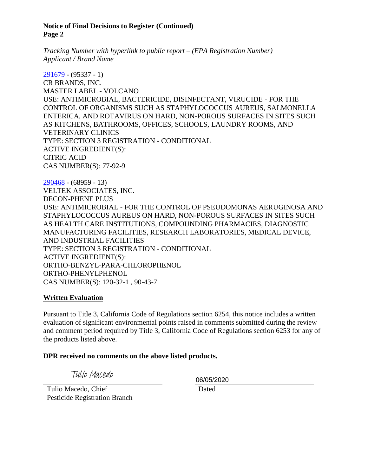#### **Notice of Final Decisions to Register (Continued) Page 2**

*Tracking Number with hyperlink to public report – (EPA Registration Number) Applicant / Brand Name*

[291679](https://www.cdpr.ca.gov/docs/registration/nod/public_reports/291679.pdf) - (95337 - 1) CR BRANDS, INC. MASTER LABEL - VOLCANO USE: ANTIMICROBIAL, BACTERICIDE, DISINFECTANT, VIRUCIDE - FOR THE CONTROL OF ORGANISMS SUCH AS STAPHYLOCOCCUS AUREUS, SALMONELLA ENTERICA, AND ROTAVIRUS ON HARD, NON-POROUS SURFACES IN SITES SUCH AS KITCHENS, BATHROOMS, OFFICES, SCHOOLS, LAUNDRY ROOMS, AND VETERINARY CLINICS TYPE: SECTION 3 REGISTRATION - CONDITIONAL ACTIVE INGREDIENT(S): CITRIC ACID CAS NUMBER(S): 77-92-9

[290468](https://www.cdpr.ca.gov/docs/registration/nod/public_reports/290468.pdf) - (68959 - 13) VELTEK ASSOCIATES, INC. DECON-PHENE PLUS USE: ANTIMICROBIAL - FOR THE CONTROL OF PSEUDOMONAS AERUGINOSA AND STAPHYLOCOCCUS AUREUS ON HARD, NON-POROUS SURFACES IN SITES SUCH AS HEALTH CARE INSTITUTIONS, COMPOUNDING PHARMACIES, DIAGNOSTIC MANUFACTURING FACILITIES, RESEARCH LABORATORIES, MEDICAL DEVICE, AND INDUSTRIAL FACILITIES TYPE: SECTION 3 REGISTRATION - CONDITIONAL ACTIVE INGREDIENT(S): ORTHO-BENZYL-PARA-CHLOROPHENOL ORTHO-PHENYLPHENOL CAS NUMBER(S): 120-32-1 , 90-43-7

# **Written Evaluation**

Pursuant to Title 3, California Code of Regulations section 6254, this notice includes a written evaluation of significant environmental points raised in comments submitted during the review and comment period required by Title 3, California Code of Regulations section 6253 for any of the products listed above.

#### **DPR received no comments on the above listed products.**

Tulio Macedo

06/05/2020

 Tulio Macedo, Chief Pesticide Registration Branch Dated